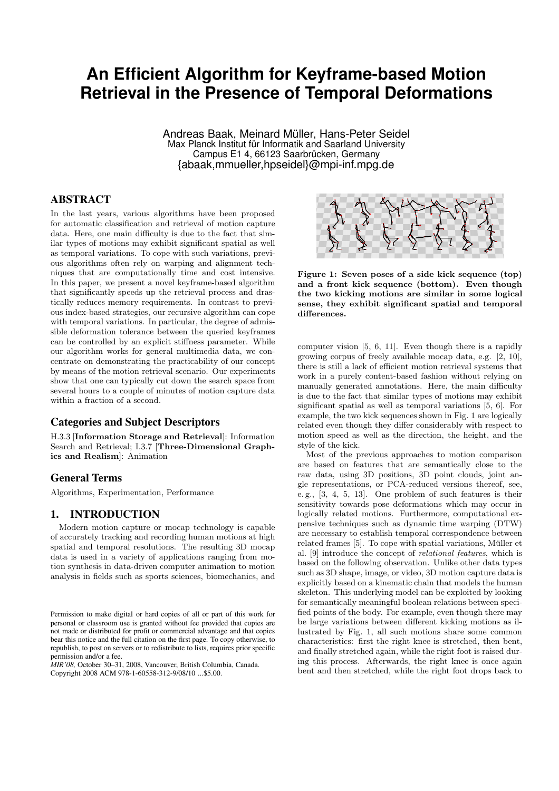# **An Efficient Algorithm for Keyframe-based Motion Retrieval in the Presence of Temporal Deformations**

Andreas Baak, Meinard Müller, Hans-Peter Seidel Max Planck Institut für Informatik and Saarland University Campus E1 4, 66123 Saarbrücken, Germany {abaak,mmueller,hpseidel}@mpi-inf.mpg.de

## **ABSTRACT**

In the last years, various algorithms have been proposed for automatic classification and retrieval of motion capture data. Here, one main difficulty is due to the fact that similar types of motions may exhibit significant spatial as well as temporal variations. To cope with such variations, previous algorithms often rely on warping and alignment techniques that are computationally time and cost intensive. In this paper, we present a novel keyframe-based algorithm that significantly speeds up the retrieval process and drastically reduces memory requirements. In contrast to previous index-based strategies, our recursive algorithm can cope with temporal variations. In particular, the degree of admissible deformation tolerance between the queried keyframes can be controlled by an explicit stiffness parameter. While our algorithm works for general multimedia data, we concentrate on demonstrating the practicability of our concept by means of the motion retrieval scenario. Our experiments show that one can typically cut down the search space from several hours to a couple of minutes of motion capture data within a fraction of a second.

## **Categories and Subject Descriptors**

H.3.3 [Information Storage and Retrieval]: Information Search and Retrieval; I.3.7 [Three-Dimensional Graphics and Realism]: Animation

## **General Terms**

Algorithms, Experimentation, Performance

## **1. INTRODUCTION**

Modern motion capture or mocap technology is capable of accurately tracking and recording human motions at high spatial and temporal resolutions. The resulting 3D mocap data is used in a variety of applications ranging from motion synthesis in data-driven computer animation to motion analysis in fields such as sports sciences, biomechanics, and

*MIR'08,* October 30–31, 2008, Vancouver, British Columbia, Canada. Copyright 2008 ACM 978-1-60558-312-9/08/10 ...\$5.00.



Figure 1: Seven poses of a side kick sequence (top) and a front kick sequence (bottom). Even though the two kicking motions are similar in some logical sense, they exhibit significant spatial and temporal differences.

computer vision [5, 6, 11]. Even though there is a rapidly growing corpus of freely available mocap data, e.g. [2, 10], there is still a lack of efficient motion retrieval systems that work in a purely content-based fashion without relying on manually generated annotations. Here, the main difficulty is due to the fact that similar types of motions may exhibit significant spatial as well as temporal variations [5, 6]. For example, the two kick sequences shown in Fig. 1 are logically related even though they differ considerably with respect to motion speed as well as the direction, the height, and the style of the kick.

Most of the previous approaches to motion comparison are based on features that are semantically close to the raw data, using 3D positions, 3D point clouds, joint angle representations, or PCA-reduced versions thereof, see, e. g., [3, 4, 5, 13]. One problem of such features is their sensitivity towards pose deformations which may occur in logically related motions. Furthermore, computational expensive techniques such as dynamic time warping (DTW) are necessary to establish temporal correspondence between related frames [5]. To cope with spatial variations, Müller et al. [9] introduce the concept of relational features, which is based on the following observation. Unlike other data types such as 3D shape, image, or video, 3D motion capture data is explicitly based on a kinematic chain that models the human skeleton. This underlying model can be exploited by looking for semantically meaningful boolean relations between specified points of the body. For example, even though there may be large variations between different kicking motions as illustrated by Fig. 1, all such motions share some common characteristics: first the right knee is stretched, then bent, and finally stretched again, while the right foot is raised during this process. Afterwards, the right knee is once again bent and then stretched, while the right foot drops back to

Permission to make digital or hard copies of all or part of this work for personal or classroom use is granted without fee provided that copies are not made or distributed for profit or commercial advantage and that copies bear this notice and the full citation on the first page. To copy otherwise, to republish, to post on servers or to redistribute to lists, requires prior specific permission and/or a fee.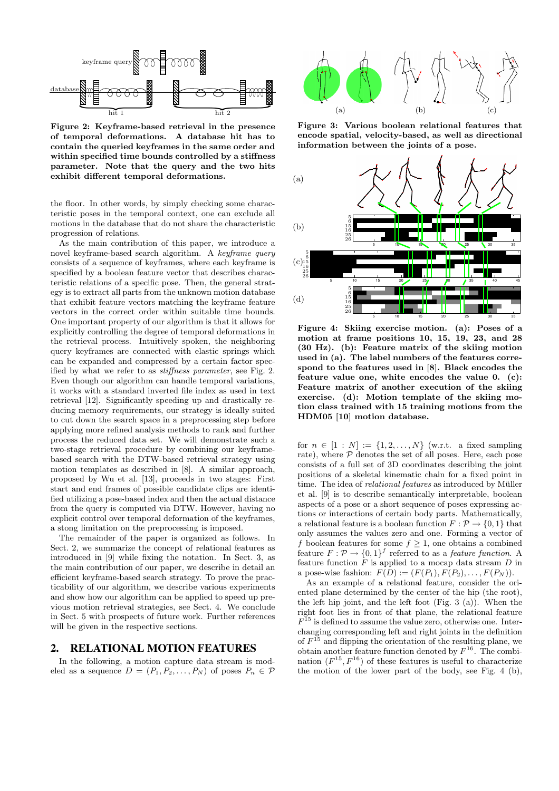

Figure 2: Keyframe-based retrieval in the presence of temporal deformations. A database hit has to contain the queried keyframes in the same order and within specified time bounds controlled by a stiffness parameter. Note that the query and the two hits exhibit different temporal deformations.

the floor. In other words, by simply checking some characteristic poses in the temporal context, one can exclude all motions in the database that do not share the characteristic progression of relations.

As the main contribution of this paper, we introduce a novel keyframe-based search algorithm. A keyframe query consists of a sequence of keyframes, where each keyframe is specified by a boolean feature vector that describes characteristic relations of a specific pose. Then, the general strategy is to extract all parts from the unknown motion database that exhibit feature vectors matching the keyframe feature vectors in the correct order within suitable time bounds. One important property of our algorithm is that it allows for explicitly controlling the degree of temporal deformations in the retrieval process. Intuitively spoken, the neighboring query keyframes are connected with elastic springs which can be expanded and compressed by a certain factor specified by what we refer to as stiffness parameter, see Fig. 2. Even though our algorithm can handle temporal variations, it works with a standard inverted file index as used in text retrieval [12]. Significantly speeding up and drastically reducing memory requirements, our strategy is ideally suited to cut down the search space in a preprocessing step before applying more refined analysis methods to rank and further process the reduced data set. We will demonstrate such a two-stage retrieval procedure by combining our keyframebased search with the DTW-based retrieval strategy using motion templates as described in [8]. A similar approach, proposed by Wu et al. [13], proceeds in two stages: First start and end frames of possible candidate clips are identified utilizing a pose-based index and then the actual distance from the query is computed via DTW. However, having no explicit control over temporal deformation of the keyframes, a stong limitation on the preprocessing is imposed.

The remainder of the paper is organized as follows. In Sect. 2, we summarize the concept of relational features as introduced in [9] while fixing the notation. In Sect. 3, as the main contribution of our paper, we describe in detail an efficient keyframe-based search strategy. To prove the practicability of our algorithm, we describe various experiments and show how our algorithm can be applied to speed up previous motion retrieval strategies, see Sect. 4. We conclude in Sect. 5 with prospects of future work. Further references will be given in the respective sections.

#### **2. RELATIONAL MOTION FEATURES**

In the following, a motion capture data stream is modeled as a sequence  $D = (P_1, P_2, \ldots, P_N)$  of poses  $P_n \in \mathcal{P}$ 



Figure 3: Various boolean relational features that encode spatial, velocity-based, as well as directional information between the joints of a pose.



Figure 4: Skiing exercise motion. (a): Poses of a motion at frame positions 10, 15, 19, 23, and 28 (30 Hz). (b): Feature matrix of the skiing motion used in (a). The label numbers of the features correspond to the features used in [8]. Black encodes the feature value one, white encodes the value 0. (c): Feature matrix of another execution of the skiing exercise. (d): Motion template of the skiing motion class trained with 15 training motions from the HDM05 [10] motion database.

for  $n \in [1:N] := \{1,2,\ldots,N\}$  (w.r.t. a fixed sampling rate), where  $P$  denotes the set of all poses. Here, each pose consists of a full set of 3D coordinates describing the joint positions of a skeletal kinematic chain for a fixed point in time. The idea of *relational features* as introduced by Müller et al. [9] is to describe semantically interpretable, boolean aspects of a pose or a short sequence of poses expressing actions or interactions of certain body parts. Mathematically, a relational feature is a boolean function  $F : \mathcal{P} \to \{0, 1\}$  that only assumes the values zero and one. Forming a vector of f boolean features for some  $f \geq 1$ , one obtains a combined feature  $F: \mathcal{P} \to \{0,1\}^f$  referred to as a *feature function*. A feature function  $\tilde{F}$  is applied to a mocap data stream  $D$  in a pose-wise fashion:  $F(D) := (F(P_1), F(P_2), \ldots, F(P_N)).$ 

As an example of a relational feature, consider the oriented plane determined by the center of the hip (the root), the left hip joint, and the left foot (Fig. 3 (a)). When the right foot lies in front of that plane, the relational feature  $F^{\overline{15}}$  is defined to assume the value zero, otherwise one. Interchanging corresponding left and right joints in the definition of  $F^{15}$  and flipping the orientation of the resulting plane, we obtain another feature function denoted by  $F^{16}$ . The combination  $(F^{15}, F^{16})$  of these features is useful to characterize the motion of the lower part of the body, see Fig. 4 (b),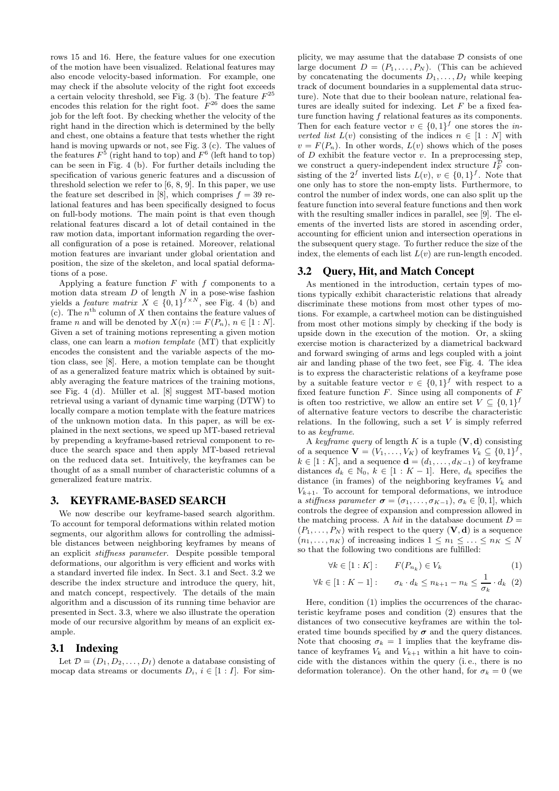rows 15 and 16. Here, the feature values for one execution of the motion have been visualized. Relational features may also encode velocity-based information. For example, one may check if the absolute velocity of the right foot exceeds a certain velocity threshold, see Fig. 3 (b). The feature  $F^{25}$ encodes this relation for the right foot.  $F^{26}$  does the same job for the left foot. By checking whether the velocity of the right hand in the direction which is determined by the belly and chest, one obtains a feature that tests whether the right hand is moving upwards or not, see Fig. 3 (c). The values of the features  $F^{\bar{5}}$  (right hand to top) and  $F^6$  (left hand to top) can be seen in Fig. 4 (b). For further details including the specification of various generic features and a discussion of threshold selection we refer to [6, 8, 9]. In this paper, we use the feature set described in [8], which comprises  $f = 39$  relational features and has been specifically designed to focus on full-body motions. The main point is that even though relational features discard a lot of detail contained in the raw motion data, important information regarding the overall configuration of a pose is retained. Moreover, relational motion features are invariant under global orientation and position, the size of the skeleton, and local spatial deformations of a pose.

Applying a feature function  $F$  with  $f$  components to a motion data stream  $D$  of length  $N$  in a pose-wise fashion yields a *feature matrix*  $X \in \{0,1\}^{f \times N}$ , see Fig. 4 (b) and  $(c)$ . The  $n<sup>th</sup>$  column of X then contains the feature values of frame *n* and will be denoted by  $X(n) := F(P_n)$ ,  $n \in [1:N]$ . Given a set of training motions representing a given motion class, one can learn a motion template (MT) that explicitly encodes the consistent and the variable aspects of the motion class, see [8]. Here, a motion template can be thought of as a generalized feature matrix which is obtained by suitably averaging the feature matrices of the training motions, see Fig.  $4$  (d). Müller et al.  $[8]$  suggest MT-based motion retrieval using a variant of dynamic time warping (DTW) to locally compare a motion template with the feature matrices of the unknown motion data. In this paper, as will be explained in the next sections, we speed up MT-based retrieval by prepending a keyframe-based retrieval component to reduce the search space and then apply MT-based retrieval on the reduced data set. Intuitively, the keyframes can be thought of as a small number of characteristic columns of a generalized feature matrix.

## **3. KEYFRAME-BASED SEARCH**

We now describe our keyframe-based search algorithm. To account for temporal deformations within related motion segments, our algorithm allows for controlling the admissible distances between neighboring keyframes by means of an explicit stiffness parameter. Despite possible temporal deformations, our algorithm is very efficient and works with a standard inverted file index. In Sect. 3.1 and Sect. 3.2 we describe the index structure and introduce the query, hit, and match concept, respectively. The details of the main algorithm and a discussion of its running time behavior are presented in Sect. 3.3, where we also illustrate the operation mode of our recursive algorithm by means of an explicit example.

## **3.1 Indexing**

Let  $\mathcal{D} = (D_1, D_2, \ldots, D_I)$  denote a database consisting of mocap data streams or documents  $D_i$ ,  $i \in [1 : I]$ . For sim-

plicity, we may assume that the database  $D$  consists of one large document  $D = (P_1, \ldots, P_N)$ . (This can be achieved by concatenating the documents  $D_1, \ldots, D_I$  while keeping track of document boundaries in a supplemental data structure). Note that due to their boolean nature, relational features are ideally suited for indexing. Let  $F$  be a fixed feature function having f relational features as its components. Then for each feature vector  $v \in \{0,1\}^f$  one stores the *in*verted list  $L(v)$  consisting of the indices  $n \in [1:N]$  with  $v = F(P_n)$ . In other words,  $L(v)$  shows which of the poses of  $D$  exhibit the feature vector  $v$ . In a preprocessing step, we construct a query-independent index structure  $I_F^{\mathcal{D}}$  consisting of the  $2^f$  inverted lists  $L(v)$ ,  $v \in \{0,1\}^f$ . Note that one only has to store the non-empty lists. Furthermore, to control the number of index words, one can also split up the feature function into several feature functions and then work with the resulting smaller indices in parallel, see [9]. The elements of the inverted lists are stored in ascending order, accounting for efficient union and intersection operations in the subsequent query stage. To further reduce the size of the index, the elements of each list  $L(v)$  are run-length encoded.

#### **3.2 Query, Hit, and Match Concept**

As mentioned in the introduction, certain types of motions typically exhibit characteristic relations that already discriminate these motions from most other types of motions. For example, a cartwheel motion can be distinguished from most other motions simply by checking if the body is upside down in the execution of the motion. Or, a skiing exercise motion is characterized by a diametrical backward and forward swinging of arms and legs coupled with a joint air and landing phase of the two feet, see Fig. 4. The idea is to express the characteristic relations of a keyframe pose by a suitable feature vector  $v \in \{0,1\}^f$  with respect to a fixed feature function  $F$ . Since using all components of  $F$ is often too restrictive, we allow an entire set  $V \subseteq \{0,1\}^f$ of alternative feature vectors to describe the characteristic relations. In the following, such a set  $V$  is simply referred to as keyframe.

A keyframe query of length K is a tuple  $(V, d)$  consisting of a sequence  $\mathbf{V} = (V_1, \dots, V_K)$  of keyframes  $V_k \subseteq \{0, 1\}^f$ ,  $k \in [1:K]$ , and a sequence  $\mathbf{d} = (d_1, \ldots, d_{K-1})$  of keyframe distances  $d_k \in \mathbb{N}_0$ ,  $k \in [1:K-1]$ . Here,  $d_k$  specifies the distance (in frames) of the neighboring keyframes  $V_k$  and  $V_{k+1}$ . To account for temporal deformations, we introduce a stiffness parameter  $\sigma = (\sigma_1, \ldots, \sigma_{K-1}), \sigma_k \in [0, 1]$ , which controls the degree of expansion and compression allowed in the matching process. A *hit* in the database document  $D =$  $(P_1, \ldots, P_N)$  with respect to the query  $(V, d)$  is a sequence  $(n_1, \ldots, n_K)$  of increasing indices  $1 \leq n_1 \leq \ldots \leq n_K \leq N$ so that the following two conditions are fulfilled:

$$
\forall k \in [1:K]: \qquad F(P_{n_k}) \in V_k \tag{1}
$$

$$
\forall k \in [1:K-1]: \quad \sigma_k \cdot d_k \le n_{k+1} - n_k \le \frac{1}{\sigma_k} \cdot d_k \tag{2}
$$

Here, condition (1) implies the occurrences of the characteristic keyframe poses and condition (2) ensures that the distances of two consecutive keyframes are within the tolerated time bounds specified by  $\sigma$  and the query distances. Note that choosing  $\sigma_k = 1$  implies that the keyframe distance of keyframes  $V_k$  and  $V_{k+1}$  within a hit have to coincide with the distances within the query (i. e., there is no deformation tolerance). On the other hand, for  $\sigma_k = 0$  (we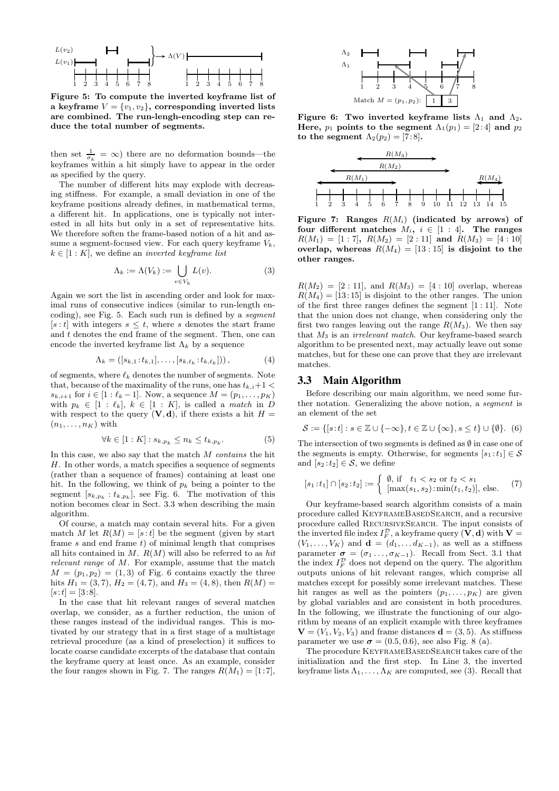

Figure 5: To compute the inverted keyframe list of a keyframe  $V = \{v_1, v_2\}$ , corresponding inverted lists are combined. The run-lengh-encoding step can reduce the total number of segments.

then set  $\frac{1}{\sigma_k} = \infty$ ) there are no deformation bounds—the keyframes within a hit simply have to appear in the order as specified by the query.

The number of different hits may explode with decreasing stiffness. For example, a small deviation in one of the keyframe positions already defines, in mathematical terms, a different hit. In applications, one is typically not interested in all hits but only in a set of representative hits. We therefore soften the frame-based notion of a hit and assume a segment-focused view. For each query keyframe  $V_k$ ,  $k \in [1:K]$ , we define an *inverted keyframe list* 

$$
\Lambda_k := \Lambda(V_k) := \bigcup_{v \in V_k} L(v).
$$
\n(3)

Again we sort the list in ascending order and look for maximal runs of consecutive indices (similar to run-length encoding), see Fig. 5. Each such run is defined by a segment  $[s : t]$  with integers  $s \leq t$ , where s denotes the start frame and  $t$  denotes the end frame of the segment. Then, one can encode the inverted keyframe list  $\Lambda_k$  by a sequence

$$
\Lambda_k = ([s_{k,1}:t_{k,1}],\ldots,[s_{k,\ell_k}:t_{k,\ell_k}]))\,,\tag{4}
$$

of segments, where  $\ell_k$  denotes the number of segments. Note that, because of the maximality of the runs, one has  $t_{k,i}+1$  $s_{k,i+1}$  for  $i \in [1 : \ell_k - 1]$ . Now, a sequence  $M = (p_1, \ldots, p_K)$ with  $p_k \in [1 : \ell_k], k \in [1 : K],$  is called a *match* in D with respect to the query  $(V, d)$ , if there exists a hit  $H =$  $(n_1, \ldots, n_K)$  with

$$
\forall k \in [1:K] : s_{k,p_k} \le n_k \le t_{k,p_k}.\tag{5}
$$

In this case, we also say that the match  $M$  contains the hit H. In other words, a match specifies a sequence of segments (rather than a sequence of frames) containing at least one hit. In the following, we think of  $p_k$  being a pointer to the segment  $[s_{k,p_k}: t_{k,p_k}],$  see Fig. 6. The motivation of this notion becomes clear in Sect. 3.3 when describing the main algorithm.

Of course, a match may contain several hits. For a given match M let  $R(M) = [s:t]$  be the segment (given by start frame s and end frame  $t$ ) of minimal length that comprises all hits contained in  $M. R(M)$  will also be referred to as hit relevant range of M. For example, assume that the match  $M = (p_1, p_2) = (1, 3)$  of Fig. 6 contains exactly the three hits  $H_1 = (3, 7), H_2 = (4, 7),$  and  $H_3 = (4, 8),$  then  $R(M) =$  $[s : t] = [3 : 8].$ 

In the case that hit relevant ranges of several matches overlap, we consider, as a further reduction, the union of these ranges instead of the individual ranges. This is motivated by our strategy that in a first stage of a multistage retrieval procedure (as a kind of preselection) it suffices to locate coarse candidate excerpts of the database that contain the keyframe query at least once. As an example, consider the four ranges shown in Fig. 7. The ranges  $R(M_1) = [1:7]$ ,



Figure 6: Two inverted keyframe lists  $\Lambda_1$  and  $\Lambda_2$ . Here,  $p_1$  points to the segment  $\Lambda_1(p_1) = [2:4]$  and  $p_2$ to the segment  $\Lambda_2(p_2) = [7:8]$ .



Figure 7: Ranges  $R(M_i)$  (indicated by arrows) of four different matches  $M_i$ ,  $i \in [1:4]$ . The ranges  $R(M_1) = [1:7], R(M_2) = [2:11] \text{ and } R(M_3) = [4:10]$ overlap, whereas  $R(M_4) = [13:15]$  is disjoint to the other ranges.

 $R(M_2) = [2:11]$ , and  $R(M_3) = [4:10]$  overlap, whereas  $R(M_4) = [13:15]$  is disjoint to the other ranges. The union of the first three ranges defines the segment  $[1:11]$ . Note that the union does not change, when considering only the first two ranges leaving out the range  $R(M_3)$ . We then say that  $M_3$  is an *irrelevant match*. Our keyframe-based search algorithm to be presented next, may actually leave out some matches, but for these one can prove that they are irrelevant matches.

#### **3.3 Main Algorithm**

Before describing our main algorithm, we need some further notation. Generalizing the above notion, a segment is an element of the set

$$
\mathcal{S} := \{ [s:t] : s \in \mathbb{Z} \cup \{-\infty\}, t \in \mathbb{Z} \cup \{\infty\}, s \leq t \} \cup \{\emptyset\}. \tag{6}
$$

The intersection of two segments is defined as  $\emptyset$  in case one of the segments is empty. Otherwise, for segments  $[s_1 : t_1] \in \mathcal{S}$ and  $[s_2:t_2] \in \mathcal{S}$ , we define

$$
[s_1:t_1] \cap [s_2:t_2] := \begin{cases} \emptyset, \text{ if } t_1 < s_2 \text{ or } t_2 < s_1 \\ [\max(s_1, s_2) : \min(t_1, t_2)], \text{ else.} \end{cases} (7)
$$

Our keyframe-based search algorithm consists of a main procedure called KEYFRAMEBASEDSEARCH, and a recursive procedure called RecursiveSearch. The input consists of the inverted file index  $I_F^{\mathcal{D}}$ , a keyframe query  $(\mathbf{V}, \mathbf{d})$  with  $\mathbf{V} =$  $(V_1, \ldots, V_K)$  and  $\mathbf{d} = (d_1, \ldots, d_{K-1}),$  as well as a stiffness parameter  $\sigma = (\sigma_1 \ldots, \sigma_{K-1})$ . Recall from Sect. 3.1 that the index  $I_F^{\mathcal{D}}$  does not depend on the query. The algorithm outputs unions of hit relevant ranges, which comprise all matches except for possibly some irrelevant matches. These hit ranges as well as the pointers  $(p_1, \ldots, p_K)$  are given by global variables and are consistent in both procedures. In the following, we illustrate the functioning of our algorithm by means of an explicit example with three keyframes  ${\bf V} = (V_1, V_2, V_3)$  and frame distances  ${\bf d} = (3, 5)$ . As stiffness parameter we use  $\sigma = (0.5, 0.6)$ , see also Fig. 8 (a).

The procedure KEYFRAMEBASEDSEARCH takes care of the initialization and the first step. In Line 3, the inverted keyframe lists  $\Lambda_1, \ldots, \Lambda_K$  are computed, see (3). Recall that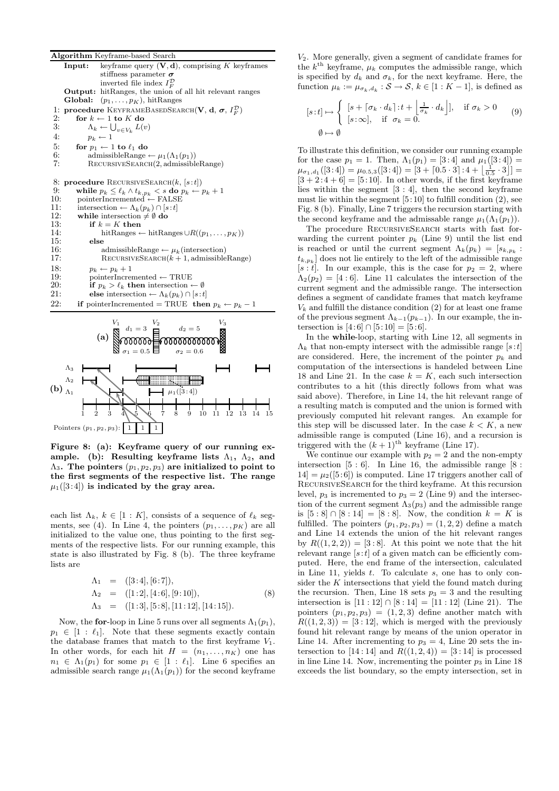Algorithm Keyframe-based Search **Input:** keyframe query  $(V, d)$ , comprising K keyframes stiffness parameter  $\pmb{\sigma}$ inverted file index  $I_F^{\mathcal{D}}$ Output: hitRanges, the union of all hit relevant ranges Global:  $(p_1, \ldots, p_K)$ , hitRanges 1: procedure KEYFRAMEBASEDSEARCH(V, d,  $\sigma$ ,  $I_F^{\mathcal{D}}$ ) 2: for  $k \leftarrow 1$  to K do<br>3:  $\Lambda_k \leftarrow \bigsqcup_{x \in M_k} L(x)$ 3:  $\Lambda_k \leftarrow \bigcup_{v \in V_k} L(v)$ 4:  $p_k \leftarrow 1$ 5: for  $p_1 \leftarrow 1$  to  $\ell_1$  do<br>6: admissibleRange 6: admissibleRange ←  $\mu_1(\Lambda_1(p_1))$ <br>7: RECURSIVESEARCH(2, admissibl RECURSIVESEARCH(2, admissibleRange) 8: procedure RECURSIVESEARCH $(k, [s:t])$ 9: while  $p_k \leq \ell_k \wedge t_{k,p_k} < s$  do  $p_k \leftarrow p_k + 1$ 10: pointerIncremented ← FALSE 11: intersection ←  $\Lambda_k(p_k) \cap [s:t]$ <br>12: while intersection  $\neq \emptyset$  do 12: while intersection  $\neq \emptyset$  do 13: if  $k = K$  then 13: **if**  $k = K$  then<br>14: **hitRanges**  $\leftarrow$ 14: hitRanges ← hitRanges ∪ $R((p_1, ..., p_K))$ <br>15: else 15: else<br>16:  $z$ 16: admissibleRange ←  $\mu_k$ (intersection)<br>17: RECURSIVESEARCH $(k+1)$  admissible  $RECURSIVERERCH(k + 1, admissibleRange)$ 18:  $p_k \leftarrow p_k + 1$ <br>19: pointerIncre 19: pointerIncremented ← TRUE<br>20: if  $n_b > l_b$  then intersection 20: **if**  $p_k > \ell_k$  **then** intersection  $\leftarrow \emptyset$ <br>21: **else** intersection  $\leftarrow \Lambda_k(p_k) \cap [s]:t$ 21: else intersection ←  $\Lambda_k(p_k) \cap [s:t]$ <br>22: if pointerIncremented = TRUE then **if** pointerIncremented = TRUE **then**  $p_k \leftarrow p_k - 1$  $V_1$   $d_1 = 3$   $V_2$   $d_2 = 5$   $V_3$  $d_2 = 5$ (a) ೲೲೲೲ  $\sigma_2 = 0.6$  $\sigma_1=0.5$ 



Figure 8: (a): Keyframe query of our running example. (b): Resulting keyframe lists  $\Lambda_1$ ,  $\Lambda_2$ , and  $\Lambda_3$ . The pointers  $(p_1, p_2, p_3)$  are initialized to point to the first segments of the respective list. The range  $\mu_1([3:4])$  is indicated by the gray area.

each list  $\Lambda_k, k \in [1:K]$ , consists of a sequence of  $\ell_k$  segments, see (4). In Line 4, the pointers  $(p_1, \ldots, p_K)$  are all initialized to the value one, thus pointing to the first segments of the respective lists. For our running example, this state is also illustrated by Fig. 8 (b). The three keyframe lists are

$$
\Lambda_1 = ([3:4], [6:7]),
$$
  
\n
$$
\Lambda_2 = ([1:2], [4:6], [9:10]),
$$
  
\n
$$
\Lambda_3 = ([1:3], [5:8], [11:12], [14:15]).
$$
\n(8)

Now, the for-loop in Line 5 runs over all segments  $\Lambda_1(p_1)$ ,  $p_1 \in [1 : \ell_1]$ . Note that these segments exactly contain the database frames that match to the first keyframe  $V_1$ . In other words, for each hit  $H = (n_1, \ldots, n_K)$  one has  $n_1 \in \Lambda_1(p_1)$  for some  $p_1 \in [1 : \ell_1]$ . Line 6 specifies an admissible search range  $\mu_1(\Lambda_1(p_1))$  for the second keyframe

 $V_2$ . More generally, given a segment of candidate frames for the  $k^{\text{th}}$  keyframe,  $\mu_k$  computes the admissible range, which is specified by  $d_k$  and  $\sigma_k$ , for the next keyframe. Here, the function  $\mu_k := \mu_{\sigma_k, d_k} : \mathcal{S} \to \mathcal{S}, k \in [1 : K - 1]$ , is defined as

$$
[s:t] \mapsto \begin{cases} [s + [\sigma_k \cdot d_k] : t + \left\lfloor \frac{1}{\sigma_k} \cdot d_k \right\rfloor], & \text{if } \sigma_k > 0 \\ [s : \infty], & \text{if } \sigma_k = 0. \end{cases}
$$
 (9)

To illustrate this definition, we consider our running example for the case  $p_1 = 1$ . Then,  $\Lambda_1(p_1) = [3:4]$  and  $\mu_1([3:4]) =$  $\mu_{\sigma_1, d_1}([3:4]) = \mu_{0.5, 3}([3:4]) = [3 + [0.5 \cdot 3] \cdot 4 + \left[\frac{1}{0.5} \cdot 3\right]] =$  $[3+2:4+6] = [5:10]$ . In other words, if the first keyframe lies within the segment  $[3:4]$ , then the second keyframe must lie within the segment  $[5:10]$  to fulfill condition  $(2)$ , see Fig. 8 (b). Finally, Line 7 triggers the recursion starting with the second keyframe and the admissable range  $\mu_1(\Lambda_1(p_1)).$ 

The procedure RECURSIVESEARCH starts with fast forwarding the current pointer  $p_k$  (Line 9) until the list end is reached or until the current segment  $\Lambda_k(p_k) = [s_{k,p_k}]$  $t_{k,p_k}$  does not lie entirely to the left of the admissible range [s : t]. In our example, this is the case for  $p_2 = 2$ , where  $\Lambda_2(p_2) = [4:6]$ . Line 11 calculates the intersection of the current segment and the admissible range. The intersection defines a segment of candidate frames that match keyframe  $V_k$  and fulfill the distance condition (2) for at least one frame of the previous segment  $\Lambda_{k-1}(p_{k-1})$ . In our example, the intersection is  $[4:6] \cap [5:10] = [5:6]$ .

In the while-loop, starting with Line 12, all segments in  $\Lambda_k$  that non-empty intersect with the admissible range [s:t] are considered. Here, the increment of the pointer  $p_k$  and computation of the intersections is handeled between Line 18 and Line 21. In the case  $k = K$ , each such intersection contributes to a hit (this directly follows from what was said above). Therefore, in Line 14, the hit relevant range of a resulting match is computed and the union is formed with previously computed hit relevant ranges. An example for this step will be discussed later. In the case  $k < K$ , a new admissible range is computed (Line 16), and a recursion is triggered with the  $(k+1)$ <sup>th</sup> keyframe (Line 17).

We continue our example with  $p_2 = 2$  and the non-empty intersection [5 : 6]. In Line 16, the admissible range [8 :  $14 = \mu_2([5:6])$  is computed. Line 17 triggers another call of RecursiveSearch for the third keyframe. At this recursion level,  $p_3$  is incremented to  $p_3 = 2$  (Line 9) and the intersection of the current segment  $\Lambda_3(p_3)$  and the admissible range is  $[5:8] \cap [8:14] = [8:8]$ . Now, the condition  $k = K$  is fulfilled. The pointers  $(p_1, p_2, p_3) = (1, 2, 2)$  define a match and Line 14 extends the union of the hit relevant ranges by  $R((1,2,2)) = [3:8]$ . At this point we note that the hit relevant range  $[s:t]$  of a given match can be efficiently computed. Here, the end frame of the intersection, calculated in Line 11, yields  $t$ . To calculate  $s$ , one has to only consider the  $K$  intersections that yield the found match during the recursion. Then, Line 18 sets  $p_3 = 3$  and the resulting intersection is  $[11:12] \cap [8:14] = [11:12]$  (Line 21). The pointers  $(p_1, p_2, p_3) = (1, 2, 3)$  define another match with  $R((1, 2, 3)) = [3: 12]$ , which is merged with the previously found hit relevant range by means of the union operator in Line 14. After incrementing to  $p_3 = 4$ , Line 20 sets the intersection to  $[14:14]$  and  $R((1,2,4)) = [3:14]$  is processed in line Line 14. Now, incrementing the pointer  $p_3$  in Line 18 exceeds the list boundary, so the empty intersection, set in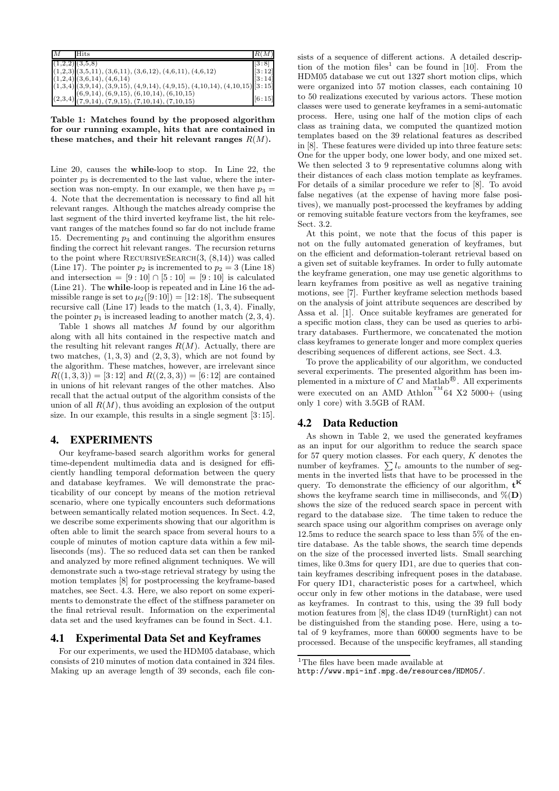| $\overline{M}$ | Hits                                                                                                                | R(M)   |
|----------------|---------------------------------------------------------------------------------------------------------------------|--------|
| (1,2,2)(3,5,8) |                                                                                                                     | [3:8]  |
|                | $(1,2,3)$ $(3,5,11)$ , $(3,6,11)$ , $(3,6,12)$ , $(4,6,11)$ , $(4,6,12)$                                            | [3:12] |
|                | $(1,2,4)$ $(3,6,14)$ , $(4,6,14)$                                                                                   | [3:14] |
|                | $(1,3,4)$ $(3,9,14)$ , $(3,9,15)$ , $(4,9,14)$ , $(4,9,15)$ , $(4,10,14)$ , $(4,10,15)$ $[3:15]$                    |        |
|                | $(6,9,14)$ , $(6,9,15)$ , $(6,10,14)$ , $(6,10,15)$<br>$[(2,3,4)]$ (7,9,14), (7,9,1 <u>5), (7,10,14), (7,10,15)</u> | [6:15] |
|                |                                                                                                                     |        |

Table 1: Matches found by the proposed algorithm for our running example, hits that are contained in these matches, and their hit relevant ranges  $R(M)$ .

Line 20, causes the while-loop to stop. In Line 22, the pointer  $p_3$  is decremented to the last value, where the intersection was non-empty. In our example, we then have  $p_3 =$ 4. Note that the decrementation is necessary to find all hit relevant ranges. Although the matches already comprise the last segment of the third inverted keyframe list, the hit relevant ranges of the matches found so far do not include frame 15. Decrementing  $p_3$  and continuing the algorithm ensures finding the correct hit relevant ranges. The recursion returns to the point where  $RECURSIEARCH(3, (8,14))$  was called (Line 17). The pointer  $p_2$  is incremented to  $p_2 = 3$  (Line 18) and intersection =  $[9:10] \cap [5:10] = [9:10]$  is calculated (Line 21). The while-loop is repeated and in Line 16 the admissible range is set to  $\mu_2([9:10]) = [12:18]$ . The subsequent recursive call (Line 17) leads to the match  $(1, 3, 4)$ . Finally, the pointer  $p_1$  is increased leading to another match  $(2, 3, 4)$ .

Table 1 shows all matches  $M$  found by our algorithm along with all hits contained in the respective match and the resulting hit relevant ranges  $R(M)$ . Actually, there are two matches,  $(1, 3, 3)$  and  $(2, 3, 3)$ , which are not found by the algorithm. These matches, however, are irrelevant since  $R((1,3,3)) = [3:12]$  and  $R((2,3,3)) = [6:12]$  are contained in unions of hit relevant ranges of the other matches. Also recall that the actual output of the algorithm consists of the union of all  $R(M)$ , thus avoiding an explosion of the output size. In our example, this results in a single segment  $[3:15]$ .

#### **4. EXPERIMENTS**

Our keyframe-based search algorithm works for general time-dependent multimedia data and is designed for efficiently handling temporal deformation between the query and database keyframes. We will demonstrate the practicability of our concept by means of the motion retrieval scenario, where one typically encounters such deformations between semantically related motion sequences. In Sect. 4.2, we describe some experiments showing that our algorithm is often able to limit the search space from several hours to a couple of minutes of motion capture data within a few milliseconds (ms). The so reduced data set can then be ranked and analyzed by more refined alignment techniques. We will demonstrate such a two-stage retrieval strategy by using the motion templates [8] for postprocessing the keyframe-based matches, see Sect. 4.3. Here, we also report on some experiments to demonstrate the effect of the stiffness parameter on the final retrieval result. Information on the experimental data set and the used keyframes can be found in Sect. 4.1.

## **4.1 Experimental Data Set and Keyframes**

For our experiments, we used the HDM05 database, which consists of 210 minutes of motion data contained in 324 files. Making up an average length of 39 seconds, each file con-

sists of a sequence of different actions. A detailed description of the motion files<sup>1</sup> can be found in [10]. From the HDM05 database we cut out 1327 short motion clips, which were organized into 57 motion classes, each containing 10 to 50 realizations executed by various actors. These motion classes were used to generate keyframes in a semi-automatic process. Here, using one half of the motion clips of each class as training data, we computed the quantized motion templates based on the 39 relational features as described in [8]. These features were divided up into three feature sets: One for the upper body, one lower body, and one mixed set. We then selected 3 to 9 representative columns along with their distances of each class motion template as keyframes. For details of a similar procedure we refer to [8]. To avoid false negatives (at the expense of having more false positives), we manually post-processed the keyframes by adding or removing suitable feature vectors from the keyframes, see Sect. 3.2.

At this point, we note that the focus of this paper is not on the fully automated generation of keyframes, but on the efficient and deformation-tolerant retrieval based on a given set of suitable keyframes. In order to fully automate the keyframe generation, one may use genetic algorithms to learn keyframes from positive as well as negative training motions, see [7]. Further keyframe selection methods based on the analysis of joint attribute sequences are described by Assa et al. [1]. Once suitable keyframes are generated for a specific motion class, they can be used as queries to arbitrary databases. Furthermore, we concatenated the motion class keyframes to generate longer and more complex queries describing sequences of different actions, see Sect. 4.3.

To prove the applicability of our algorithm, we conducted several experiments. The presented algorithm has been implemented in a mixture of C and Matlab<sup>®</sup>. All experiments were executed on an AMD Athlon<sup>TM</sup> 64 X2 5000+ (using only 1 core) with 3.5GB of RAM.

#### **4.2 Data Reduction**

As shown in Table 2, we used the generated keyframes as an input for our algorithm to reduce the search space for 57 query motion classes. For each query,  $K$  denotes the number of keyframes.  $\sum l_v$  amounts to the number of segments in the inverted lists that have to be processed in the query. To demonstrate the efficiency of our algorithm,  $\mathbf{t}^{\mathbf{K}}$ shows the keyframe search time in milliseconds, and  $\%(\mathbf{D})$ shows the size of the reduced search space in percent with regard to the database size. The time taken to reduce the search space using our algorithm comprises on average only 12.5ms to reduce the search space to less than 5% of the entire database. As the table shows, the search time depends on the size of the processed inverted lists. Small searching times, like 0.3ms for query ID1, are due to queries that contain keyframes describing infrequent poses in the database. For query ID1, characteristic poses for a cartwheel, which occur only in few other motions in the database, were used as keyframes. In contrast to this, using the 39 full body motion features from [8], the class ID49 (turnRight) can not be distinguished from the standing pose. Here, using a total of 9 keyframes, more than 60000 segments have to be processed. Because of the unspecific keyframes, all standing

 $^1\mathrm{The}$  files have been made available at

http://www.mpi-inf.mpg.de/resources/HDM05/.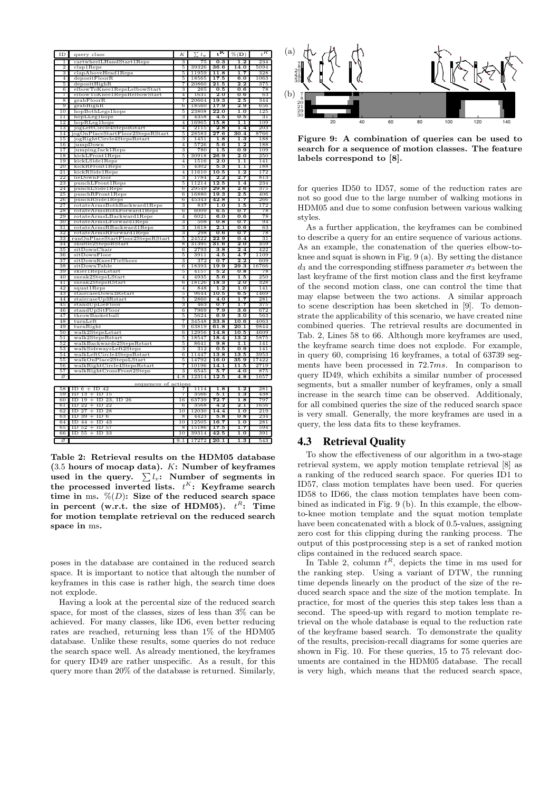| ID             | query class                                            | K                   | $l_v$          | ${}_{\rm t}$ K | $\%$ (D)                | ${}_{t}R$      |
|----------------|--------------------------------------------------------|---------------------|----------------|----------------|-------------------------|----------------|
| ī              | cartwheelLHandStart1Reps                               | 3                   | 75             | 0.3            | 1.2                     | 234            |
| $\overline{2}$ | clap1Reps                                              | 5                   | 39326          | 36.6           | 14.0                    | 5094           |
| 3              | clapAboveHead1Reps                                     | 5                   | 11959          | 11.8           | 1.                      | 328            |
| 4              | depositFloorR                                          | 5                   | 18565          | 17.5           | 6.0                     | 1063           |
| 5              | depositHighR                                           | 7                   | 20860          | 21.5           | 2.2                     | 375            |
| 6<br>7         | elbowToKnee1RepsLelbowStart                            | 3<br>$\overline{4}$ | 265<br>1631    | 0.5            | 0.6                     | 78<br>63       |
| 8              | elbowToKnee1RepsRelbowStart<br>grabFloorR              | 7                   | 20664          | 2.0<br>19.3    | 0.6<br>2.5              | 344            |
| 9              | grabHighR                                              | 6                   | 18560          | 17.9           | 2.9                     | 656            |
| 10             | hopBothLegs1hops                                       | 5                   | 23808          | 22.0           | 1.0                     | 125            |
| 11             | hopLLeg1hops                                           | 3                   | 4358           | 4.5            | 0.5                     | 31             |
| 12             | hopRLeg1hops                                           | 4                   | 16965          | 15.8           | 1.1                     | 109            |
| 13             | jogLeftCircle4StepsRstart                              | 4                   | 2115           | 2.8            | 1.4                     | 203            |
| 14             | jogOnPlaceStartFloor2StepsRStart                       | 5                   | 28583          | $27.6\,$       | 30.4                    | 8766           |
| 15             | jogRightCircle4StepsRstart                             | 3                   | 1451           | 1.8            | 1.3                     | 188            |
| 16             | jumpDown                                               | 4                   | 5726           | 5.6            | 1.2                     | 188            |
| 17<br>18       | jumpingJack1Reps<br>kickLFront1Reps                    | 3<br>5              | 780<br>30918   | 1.5<br>26.9    | 0.9<br>$_{2.0}$         | 109<br>250     |
| 19             | kickLSide1Reps                                         | 4                   | 1516           | 2.0            | 1.1                     | 141            |
| 20             | kickRFront1Reps                                        | 5                   | 4302           | 5.3            | 1.1                     | 188            |
| 21             | kickRSide1Reps                                         | 4                   | 11610          | 10.5           | $1.2\,$                 | 172            |
| 22             | lieDownFloor                                           | 3                   | 1784           | $^{2.2}$       | $^{2.7}$                | 813            |
| 23             | punchLFront1Reps                                       | 5                   | 11214          | 12.5           | 1.4                     | 234            |
| 24             | punchLSide1Reps                                        | 6                   | 29549          | 29.8           | 2.6                     | 375            |
| 25             | punchRFront1Reps                                       | 6                   | 16880          | 19.3           | $2.5\,$                 | 406            |
| 26             | punchRSide1Reps                                        | 6                   | 45343          | 42.8           | 1.7                     | 266            |
| 27<br>28       | rotateArmsBothBackward1Reps                            | 3<br>6              | 837            | 1.0<br>6.5     | 1.5<br>0.7              | 172<br>78      |
| 29             | rotateArmsBothForward1Reps<br>rotateArmsLBackward1Reps | $\overline{4}$      | 6009<br>6021   | 6.0            | 0.6                     | 78             |
| 30             | rotateArmsLForward1Reps                                | 3                   | $_{508}$       | 0.8            | 0.7                     | 94             |
| 31             | rotateArmsRBackward1Reps                               | 3                   | 1618           | $^{2.1}$       | $_{0.6}$                | 63             |
| 32             | rotateArmsRForward1Reps                                | 3                   | 298            | 0.6            | 0.7                     | 78             |
| 33             | runOnPlaceStartFloor2StepsRStart                       | 5                   | 24522          | 22.9           | 0.4                     | 31             |
| 34             | shuffle2StepsRStart                                    | 8                   | 31395          | 31.6           | $_{\rm 2.0}$            | 359            |
| 35             | sitDownChair                                           | 6                   | 2793           | 3.8            | 2.4                     | 422            |
| 36             | sitDownFloor                                           | 5                   | 3911           | 4.5            | 4.7                     | 1109           |
| 37             | sitDownKneelTieShoes                                   | 3                   | 372            | 0.7            | $^{2.2}$                | 609            |
| 38             | sitDownTable                                           | 6                   | 18393          | 19.9           | $_{\rm 29.3}$           | 16766          |
| 39<br>40       | skier1RepsLstart<br>sneak2StepsLStart                  | 5<br>4              | 4157<br>4935   | 5.2<br>5.6     | 0.8<br>$1.5\,$          | 78<br>$^{250}$ |
| 41             | sneak2StepsRStart                                      | 6                   | 18126          | 18.3           | $_{\bf 2.0}$            | 328            |
| 42             | squat1Reps                                             | $\overline{4}$      | 848            | 1.2            | 1.0                     | 141            |
| 43             | staircaseDown3Rstart                                   | 5                   | 9644           | 10.5           | 6.5                     | 1469           |
| 44             | staircaseUp3Rstart                                     | 5                   | 2860           | 4.0            | 1.7                     | 281            |
| 45             | standUpLieFloor                                        | 3                   | 463            | 0.<br>7        | 1.<br>7                 | 375            |
| 46             | standUpSitFloor                                        | 6                   | 7969           | 7.9            | 3.6                     | 672            |
| 47             | throwBasketball                                        | 5                   | 5624           | 6.9            | 3.0                     | 563            |
| 48             | $_{\rm turnLeft}$                                      | 7                   | 34548          | 33.8           | 10.6                    | 4063           |
| 49<br>50       | turnRight                                              | 9<br>6              | 63819<br>12956 | 61.8<br>14.8   | 20.1<br>10.5            | 9844<br>4609   |
| 51             | walk2StepsLstart<br>walk2StepsRstart                   | 5                   | 18547          | 18.4           | 13.2                    | 5875           |
| 52             | walkBackwards2StepsRstart                              | 5                   | 8641           | 9.8            | 1.1                     | 141            |
| 53             | walkSidewaysLeft2Steps                                 | 3                   | 312            | 0.5            | 0.9                     | 141            |
| 54             | walkLeftCircle4StepsRstart                             | 6                   | 11447          | 13.8           | 13.5                    | 3953           |
| 55             | walkOnPlace2StepsLStart                                | 5                   | 14792          | 16.0           | 35.9                    | 17422          |
| 56             | walkRightCircle4StepsRstart                            |                     | 10196          | 14.1           | 11.5                    | 2719           |
| 57             | walkRightCrossFront2Steps                              | 3                   | 6545           | 5.7            | 4.0                     | 875            |
| Ø              |                                                        | 4.8                 | 12314          | 12.5           | 4.8                     | 1657           |
|                | sequences of actions                                   |                     |                |                |                         |                |
| 58             | ID<br>$\overline{6}$<br>ID <sub>42</sub><br>$^{+}$     | 7                   | 1114           | 1.8            | 1.2                     | 281            |
| 59<br>60       | ID<br>13<br>ID 15                                      | 7                   | 3566           | 5.1<br>72.7    | 1.3                     | 438            |
| 61             | 23, ID 26<br>ID<br>19<br>ID<br>22<br>22<br>ΙD<br>ID    | 16                  | 63739<br>3568  | 4.2            | 1.8<br>$\overline{2.1}$ | 797<br>1656    |
| 62             | $^{+}$<br>27<br>28<br>ΙD<br>ΙD                         | 6<br>10             | 12030          | 14.4           | ī.<br>$\overline{0}$    | 219            |
| 63             | 39<br>6<br>ID<br>ID<br>Ŧ                               | 8                   | 4423           | 5.8            | 0.8                     | 234            |
| 64             | ΙD<br>44<br>ΙD<br>43<br>$^+$                           | 10                  | 12505          | 16.7           | 1.0                     | 281            |
| 65             | ΙD<br>52<br>ID <sub>57</sub><br>$^{+}$                 | 8                   | 15186          | 17.5           | 1.7                     | 594            |
| 66             | ΙD<br>ID<br>55<br>33<br>$^+$                           | 10                  | 39314          | 42.5           | 1.0                     | 391            |
| Ø              |                                                        | 9.<br>1             | 17272          | 20.1           | 1.<br>3                 | 543            |
|                |                                                        |                     |                |                |                         |                |

Table 2: Retrieval results on the HDM05 database (3.5 hours of mocap data). K: Number of keyframes used in the query.  $\sum l_v$ : Number of segments in the processed inverted lists.  $t^K$ : Keyframe search time in ms.  $\mathcal{K}(D)$ : Size of the reduced search space in percent (w.r.t. the size of HDM05).  $t^R$ : Time for motion template retrieval on the reduced search space in ms.

poses in the database are contained in the reduced search space. It is important to notice that altough the number of keyframes in this case is rather high, the search time does not explode.

Having a look at the percental size of the reduced search space, for most of the classes, sizes of less than 3% can be achieved. For many classes, like ID6, even better reducing rates are reached, returning less than 1% of the HDM05 database. Unlike these results, some queries do not reduce the search space well. As already mentioned, the keyframes for query ID49 are rather unspecific. As a result, for this query more than 20% of the database is returned. Similarly,



Figure 9: A combination of queries can be used to search for a sequence of motion classes. The feature labels correspond to [8].

for queries ID50 to ID57, some of the reduction rates are not so good due to the large number of walking motions in HDM05 and due to some confusion between various walking styles.

As a further application, the keyframes can be combined to describe a query for an entire sequence of various actions. As an example, the conatenation of the queries elbow-toknee and squat is shown in Fig. 9 (a). By setting the distance  $d_3$  and the corresponding stiffness parameter  $\sigma_3$  between the last keyframe of the first motion class and the first keyframe of the second motion class, one can control the time that may elapse between the two actions. A similar approach to scene description has been sketched in [9]. To demonstrate the applicability of this scenario, we have created nine combined queries. The retrieval results are documented in Tab. 2, Lines 58 to 66. Although more keyframes are used, the keyframe search time does not explode. For example, in query 60, comprising 16 keyframes, a total of 63739 segments have been processed in 72.7ms. In comparison to query ID49, which exhibits a similar number of processed segments, but a smaller number of keyframes, only a small increase in the search time can be observed. Additionaly, for all combined queries the size of the reduced search space is very small. Generally, the more keyframes are used in a query, the less data fits to these keyframes.

## **4.3 Retrieval Quality**

To show the effectiveness of our algorithm in a two-stage retrieval system, we apply motion template retrieval [8] as a ranking of the reduced search space. For queries ID1 to ID57, class motion templates have been used. For queries ID58 to ID66, the class motion templates have been combined as indicated in Fig. 9 (b). In this example, the elbowto-knee motion template and the squat motion template have been concatenated with a block of 0.5-values, assigning zero cost for this clipping during the ranking process. The output of this postprocessing step is a set of ranked motion clips contained in the reduced search space.

In Table 2, column  $t^R$ , depicts the time in ms used for the ranking step. Using a variant of DTW, the running time depends linearly on the product of the size of the reduced search space and the size of the motion template. In practice, for most of the queries this step takes less than a second. The speed-up with regard to motion template retrieval on the whole database is equal to the reduction rate of the keyframe based search. To demonstrate the quality of the results, precision-recall diagrams for some queries are shown in Fig. 10. For these queries, 15 to 75 relevant documents are contained in the HDM05 database. The recall is very high, which means that the reduced search space,